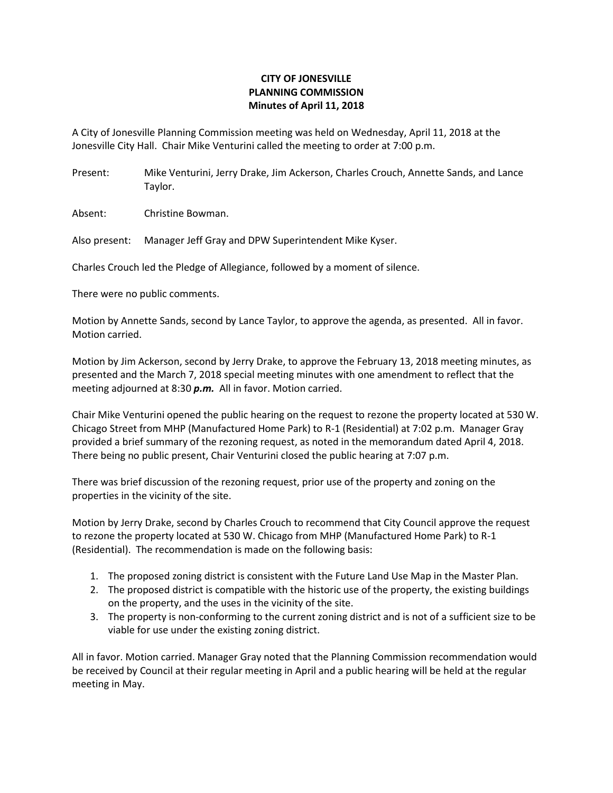## **CITY OF JONESVILLE PLANNING COMMISSION Minutes of April 11, 2018**

A City of Jonesville Planning Commission meeting was held on Wednesday, April 11, 2018 at the Jonesville City Hall. Chair Mike Venturini called the meeting to order at 7:00 p.m.

Present: Mike Venturini, Jerry Drake, Jim Ackerson, Charles Crouch, Annette Sands, and Lance Taylor.

Absent: Christine Bowman.

Also present: Manager Jeff Gray and DPW Superintendent Mike Kyser.

Charles Crouch led the Pledge of Allegiance, followed by a moment of silence.

There were no public comments.

Motion by Annette Sands, second by Lance Taylor, to approve the agenda, as presented. All in favor. Motion carried.

Motion by Jim Ackerson, second by Jerry Drake, to approve the February 13, 2018 meeting minutes, as presented and the March 7, 2018 special meeting minutes with one amendment to reflect that the meeting adjourned at 8:30 *p.m.* All in favor. Motion carried.

Chair Mike Venturini opened the public hearing on the request to rezone the property located at 530 W. Chicago Street from MHP (Manufactured Home Park) to R-1 (Residential) at 7:02 p.m. Manager Gray provided a brief summary of the rezoning request, as noted in the memorandum dated April 4, 2018. There being no public present, Chair Venturini closed the public hearing at 7:07 p.m.

There was brief discussion of the rezoning request, prior use of the property and zoning on the properties in the vicinity of the site.

Motion by Jerry Drake, second by Charles Crouch to recommend that City Council approve the request to rezone the property located at 530 W. Chicago from MHP (Manufactured Home Park) to R-1 (Residential). The recommendation is made on the following basis:

- 1. The proposed zoning district is consistent with the Future Land Use Map in the Master Plan.
- 2. The proposed district is compatible with the historic use of the property, the existing buildings on the property, and the uses in the vicinity of the site.
- 3. The property is non-conforming to the current zoning district and is not of a sufficient size to be viable for use under the existing zoning district.

All in favor. Motion carried. Manager Gray noted that the Planning Commission recommendation would be received by Council at their regular meeting in April and a public hearing will be held at the regular meeting in May.